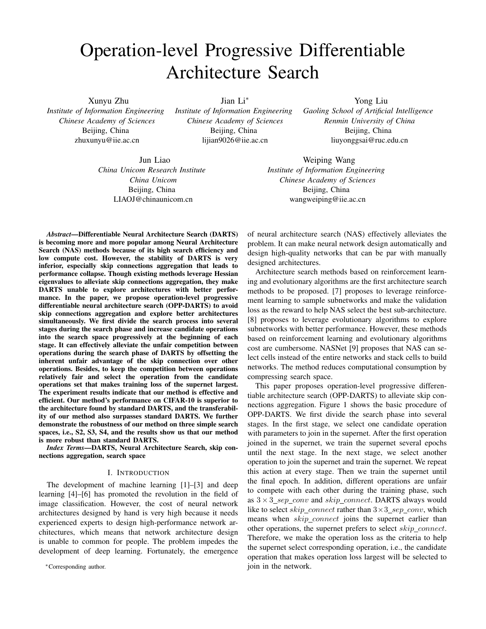# Operation-level Progressive Differentiable Architecture Search

Xunyu Zhu *Institute of Information Engineering Chinese Academy of Sciences* Beijing, China zhuxunyu@iie.ac.cn

Jian Li<sup>∗</sup>

*Institute of Information Engineering Chinese Academy of Sciences* Beijing, China lijian9026@iie.ac.cn

Yong Liu *Gaoling School of Artificial Intelligence Renmin University of China* Beijing, China liuyonggsai@ruc.edu.cn

Jun Liao *China Unicom Research Institute China Unicom* Beijing, China LIAOJ@chinaunicom.cn

*Abstract*—Differentiable Neural Architecture Search (DARTS) is becoming more and more popular among Neural Architecture Search (NAS) methods because of its high search efficiency and low compute cost. However, the stability of DARTS is very inferior, especially skip connections aggregation that leads to performance collapse. Though existing methods leverage Hessian eigenvalues to alleviate skip connections aggregation, they make DARTS unable to explore architectures with better performance. In the paper, we propose operation-level progressive differentiable neural architecture search (OPP-DARTS) to avoid skip connections aggregation and explore better architectures simultaneously. We first divide the search process into several stages during the search phase and increase candidate operations into the search space progressively at the beginning of each stage. It can effectively alleviate the unfair competition between operations during the search phase of DARTS by offsetting the inherent unfair advantage of the skip connection over other operations. Besides, to keep the competition between operations relatively fair and select the operation from the candidate operations set that makes training loss of the supernet largest. The experiment results indicate that our method is effective and efficient. Our method's performance on CIFAR-10 is superior to the architecture found by standard DARTS, and the transferability of our method also surpasses standard DARTS. We further demonstrate the robustness of our method on three simple search spaces, i.e., S2, S3, S4, and the results show us that our method is more robust than standard DARTS.

*Index Terms*—DARTS, Neural Architecture Search, skip connections aggregation, search space

# I. INTRODUCTION

The development of machine learning [1]–[3] and deep learning [4]–[6] has promoted the revolution in the field of image classification. However, the cost of neural network architectures designed by hand is very high because it needs experienced experts to design high-performance network architectures, which means that network architecture design is unable to common for people. The problem impedes the development of deep learning. Fortunately, the emergence

<sup>∗</sup>Corresponding author.

Weiping Wang *Institute of Information Engineering Chinese Academy of Sciences* Beijing, China wangweiping@iie.ac.cn

of neural architecture search (NAS) effectively alleviates the problem. It can make neural network design automatically and design high-quality networks that can be par with manually designed architectures.

Architecture search methods based on reinforcement learning and evolutionary algorithms are the first architecture search methods to be proposed. [7] proposes to leverage reinforcement learning to sample subnetworks and make the validation loss as the reward to help NAS select the best sub-architecture. [8] proposes to leverage evolutionary algorithms to explore subnetworks with better performance. However, these methods based on reinforcement learning and evolutionary algorithms cost are cumbersome. NASNet [9] proposes that NAS can select cells instead of the entire networks and stack cells to build networks. The method reduces computational consumption by compressing search space.

This paper proposes operation-level progressive differentiable architecture search (OPP-DARTS) to alleviate skip connections aggregation. Figure 1 shows the basic procedure of OPP-DARTS. We first divide the search phase into several stages. In the first stage, we select one candidate operation with parameters to join in the supernet. After the first operation joined in the supernet, we train the supernet several epochs until the next stage. In the next stage, we select another operation to join the supernet and train the supernet. We repeat this action at every stage. Then we train the supernet until the final epoch. In addition, different operations are unfair to compete with each other during the training phase, such as  $3 \times 3\_sep\_conv$  and  $skip\_connect$ . DARTS always would like to select  $skip\_connect$  rather than  $3 \times 3\_sep\_conv$ , which means when  $skip\_connect$  joins the supernet earlier than other operations, the supernet prefers to select skip\_connect. Therefore, we make the operation loss as the criteria to help the supernet select corresponding operation, i.e., the candidate operation that makes operation loss largest will be selected to join in the network.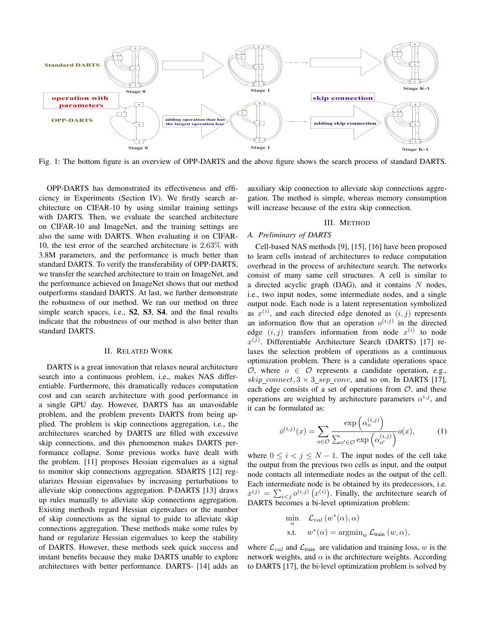

Fig. 1: The bottom figure is an overview of OPP-DARTS and the above figure shows the search process of standard DARTS.

OPP-DARTS has demonstrated its effectiveness and efficiency in Experiments (Section IV). We firstly search architecture on CIFAR-10 by using similar training settings with DARTS. Then, we evaluate the searched architecture on CIFAR-10 and ImageNet, and the training settings are also the same with DARTS. When evaluating it on CIFAR-10, the test error of the searched architecture is 2.63% with 3.8M parameters, and the performance is much better than standard DARTS. To verify the transferability of OPP-DARTS, we transfer the searched architecture to train on ImageNet, and the performance achieved on ImageNet shows that our method outperforms standard DARTS. At last, we further demonstrate the robustness of our method. We ran our method on three simple search spaces, i.e., **S2**, **S3**, **S4**, and the final results indicate that the robustness of our method is also better than standard DARTS.

#### II. RELATED WORK

DARTS is a great innovation that relaxes neural architecture search into a continuous problem, i.e., makes NAS differentiable. Furthermore, this dramatically reduces computation cost and can search architecture with good performance in a single GPU day. However, DARTS has an unavoidable problem, and the problem prevents DARTS from being applied. The problem is skip connections aggregation, i.e., the architectures searched by DARTS are filled with excessive skip connections, and this phenomenon makes DARTS performance collapse. Some previous works have dealt with the problem. [11] proposes Hessian eigenvalues as a signal to monitor skip connections aggregation. SDARTS [12] regularizes Hessian eigenvalues by increasing perturbations to alleviate skip connections aggregation. P-DARTS [13] draws up rules manually to alleviate skip connections aggregation. Existing methods regard Hessian eigenvalues or the number of skip connections as the signal to guide to alleviate skip connections aggregation. These methods make some rules by hand or regularize Hessian eigenvalues to keep the stability of DARTS. However, these methods seek quick success and instant benefits because they make DARTS unable to explore architectures with better performance. DARTS- [14] adds an

auxiliary skip connection to alleviate skip connections aggregation. The method is simple, whereas memory consumption will increase because of the extra skip connection.

# III. METHOD

# *A. Preliminary of DARTS*

Cell-based NAS methods [9], [15], [16] have been proposed to learn cells instead of architectures to reduce computation overhead in the process of architecture search. The networks consist of many same cell structures. A cell is similar to a directed acyclic graph (DAG), and it contains  $N$  nodes, i.e., two input nodes, some intermediate nodes, and a single output node. Each node is a latent representation symbolized as  $x^{(i)}$ , and each directed edge denoted as  $(i, j)$  represents an information flow that an operation  $o^{(i,j)}$  in the directed edge  $(i, j)$  transfers information from node  $x^{(i)}$  to node  $x^{(j)}$ . Differentiable Architecture Search (DARTS) [17] relaxes the selection problem of operations as a continuous optimization problem. There is a candidate operations space  $\mathcal{O}$ , where  $o \in \mathcal{O}$  represents a candidate operation, e.g.,  $skip\_connect$ ,  $3 \times 3\_sep\_conv$ , and so on. In DARTS [17], each edge consists of a set of operations from  $O$ , and these operations are weighted by architecture parameters  $\alpha^{i,j}$ , and it can be formulated as:

$$
\bar{o}^{(i,j)}(x) = \sum_{o \in \mathcal{O}} \frac{\exp\left(\alpha_o^{(i,j)}\right)}{\sum_{o' \in \mathcal{O}} \exp\left(\alpha_{o'}^{(i,j)}\right)} o(x),\tag{1}
$$

where  $0 \le i < j \le N - 1$ . The input nodes of the cell take the output from the previous two cells as input, and the output node contacts all intermediate nodes as the output of the cell. Each intermediate node is be obtained by its predecessors, i.e.  $x^{(j)} = \sum_{i < j} o^{(i,j)}(x^{(i)})$ . Finally, the architecture search of DARTS becomes a bi-level optimization problem:

$$
\min_{\alpha} \quad \mathcal{L}_{val} (w^*(\alpha), \alpha)
$$
  
s.t. 
$$
w^*(\alpha) = \operatorname{argmin}_{w} \mathcal{L}_{\text{train}} (w, \alpha),
$$

where  $\mathcal{L}_{val}$  and  $\mathcal{L}_{train}$  are validation and training loss, w is the network weights, and  $\alpha$  is the architecture weights. According to DARTS [17], the bi-level optimization problem is solved by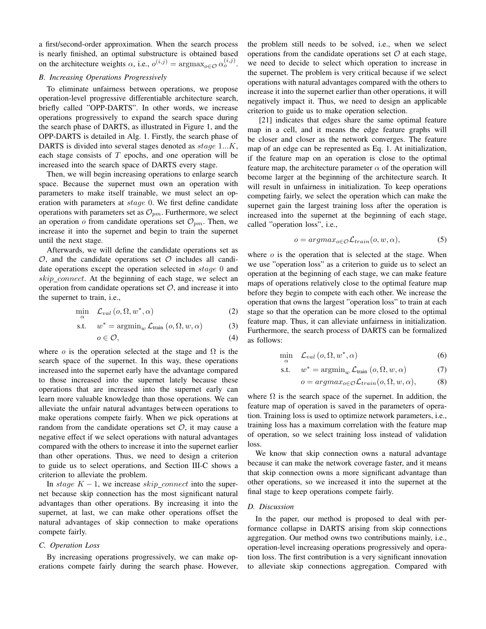a first/second-order approximation. When the search process is nearly finished, an optimal substructure is obtained based on the architecture weights  $\alpha$ , i.e.,  $o^{(i,j)} = \text{argmax}_{o \in \mathcal{O}} \alpha_o^{(i,j)}$ .

# *B. Increasing Operations Progressively*

To eliminate unfairness between operations, we propose operation-level progressive differentiable architecture search, briefly called "OPP-DARTS". In other words, we increase operations progressively to expand the search space during the search phase of DARTS, as illustrated in Figure 1, and the OPP-DARTS is detailed in Alg. 1. Firstly, the search phase of DARTS is divided into several stages denoted as  $stage 1...K$ , each stage consists of  $T$  epochs, and one operation will be increased into the search space of DARTS every stage.

Then, we will begin increasing operations to enlarge search space. Because the supernet must own an operation with parameters to make itself trainable, we must select an operation with parameters at *stage* 0. We first define candidate operations with parameters set as  $\mathcal{O}_{pm}$ . Furthermore, we select an operation  $o$  from candidate operations set  $\mathcal{O}_{pm}$ . Then, we increase it into the supernet and begin to train the supernet until the next stage.

Afterwards, we will define the candidate operations set as  $\mathcal{O}$ , and the candidate operations set  $\mathcal O$  includes all candidate operations except the operation selected in *stage* 0 and skip\_connect. At the beginning of each stage, we select an operation from candidate operations set  $O$ , and increase it into the supernet to train, i.e.,

$$
\min_{\alpha} \quad \mathcal{L}_{val} \left( o, \Omega, w^*, \alpha \right) \tag{2}
$$

$$
\text{s.t.} \quad w^* = \operatorname{argmin}_{w} \mathcal{L}_{\text{train}}\left(o, \Omega, w, \alpha\right) \tag{3}
$$

$$
o \in \mathcal{O},\tag{4}
$$

where *o* is the operation selected at the stage and  $\Omega$  is the search space of the supernet. In this way, these operations increased into the supernet early have the advantage compared to those increased into the supernet lately because these operations that are increased into the supernet early can learn more valuable knowledge than those operations. We can alleviate the unfair natural advantages between operations to make operations compete fairly. When we pick operations at random from the candidate operations set  $\mathcal{O}$ , it may cause a negative effect if we select operations with natural advantages compared with the others to increase it into the supernet earlier than other operations. Thus, we need to design a criterion to guide us to select operations, and Section III-C shows a criterion to alleviate the problem.

In stage  $K - 1$ , we increase skip\_connect into the supernet because skip connection has the most significant natural advantages than other operations. By increasing it into the supernet, at last, we can make other operations offset the natural advantages of skip connection to make operations compete fairly.

## *C. Operation Loss*

By increasing operations progressively, we can make operations compete fairly during the search phase. However, the problem still needs to be solved, i.e., when we select operations from the candidate operations set  $\mathcal O$  at each stage, we need to decide to select which operation to increase in the supernet. The problem is very critical because if we select operations with natural advantages compared with the others to increase it into the supernet earlier than other operations, it will negatively impact it. Thus, we need to design an applicable criterion to guide us to make operation selection.

[21] indicates that edges share the same optimal feature map in a cell, and it means the edge feature graphs will be closer and closer as the network converges. The feature map of an edge can be represented as Eq. 1. At initialization, if the feature map on an operation is close to the optimal feature map, the architecture parameter  $\alpha$  of the operation will become larger at the beginning of the architecture search. It will result in unfairness in initialization. To keep operations competing fairly, we select the operation which can make the supernet gain the largest training loss after the operation is increased into the supernet at the beginning of each stage, called "operation loss", i.e.,

$$
o = argmax_{o \in \mathcal{O}} \mathcal{L}_{train}(o, w, \alpha), \tag{5}
$$

where  $\sigma$  is the operation that is selected at the stage. When we use "operation loss" as a criterion to guide us to select an operation at the beginning of each stage, we can make feature maps of operations relatively close to the optimal feature map before they begin to compete with each other. We increase the operation that owns the largest "operation loss" to train at each stage so that the operation can be more closed to the optimal feature map. Thus, it can alleviate unfairness in initialization. Furthermore, the search process of DARTS can be formalized as follows:

$$
\min_{\alpha} \quad \mathcal{L}_{val} \left( o, \Omega, w^*, \alpha \right) \tag{6}
$$

$$
\text{s.t.} \quad w^* = \operatorname{argmin}_{w} \mathcal{L}_{\text{train}}\left(o, \Omega, w, \alpha\right) \tag{7}
$$

$$
o = argmax_{o \in \mathcal{O}} \mathcal{L}_{train}(o, \Omega, w, \alpha), \tag{8}
$$

where  $\Omega$  is the search space of the supernet. In addition, the feature map of operation is saved in the parameters of operation. Training loss is used to optimize network parameters, i.e., training loss has a maximum correlation with the feature map of operation, so we select training loss instead of validation loss.

We know that skip connection owns a natural advantage because it can make the network coverage faster, and it means that skip connection owns a more significant advantage than other operations, so we increased it into the supernet at the final stage to keep operations compete fairly.

## *D. Discussion*

In the paper, our method is proposed to deal with performance collapse in DARTS arising from skip connections aggregation. Our method owns two contributions mainly, i.e., operation-level increasing operations progressively and operation loss. The first contribution is a very significant innovation to alleviate skip connections aggregation. Compared with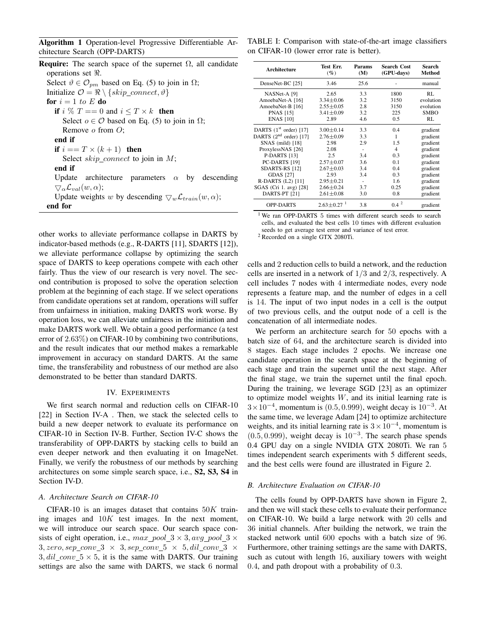Algorithm 1 Operation-level Progressive Differentiable Architecture Search (OPP-DARTS)

| <b>Require:</b> The search space of the supernet $\Omega$ , all candidate           |
|-------------------------------------------------------------------------------------|
| operations set R.                                                                   |
| Select $\vartheta \in \mathcal{O}_{pm}$ based on Eq. (5) to join in $\Omega$ ;      |
| Initialize $\mathcal{O} = \Re \setminus \{skip\_connect, \vartheta\}$               |
| for $i=1$ to E do                                                                   |
| if i % T = 0 and $i \leq T \times k$ then                                           |
| Select $o \in \mathcal{O}$ based on Eq. (5) to join in $\Omega$ ;                   |
| Remove $o$ from $O$ :                                                               |
| end if                                                                              |
| if $i == T \times (k+1)$ then                                                       |
| Select $skip\_connect$ to join in $M$ ;                                             |
| end if                                                                              |
| Update architecture parameters $\alpha$ by descending                               |
| $\bigtriangledown_{\alpha} \mathcal{L}_{val}(w, \alpha);$                           |
| Update weights w by descending $\bigtriangledown_w \mathcal{L}_{train}(w, \alpha);$ |
| end for                                                                             |
|                                                                                     |

other works to alleviate performance collapse in DARTS by indicator-based methods (e.g., R-DARTS [11], SDARTS [12]), we alleviate performance collapse by optimizing the search space of DARTS to keep operations compete with each other fairly. Thus the view of our research is very novel. The second contribution is proposed to solve the operation selection problem at the beginning of each stage. If we select operations from candidate operations set at random, operations will suffer from unfairness in initiation, making DARTS work worse. By operation loss, we can alleviate unfairness in the initiation and make DARTS work well. We obtain a good performance (a test error of 2.63%) on CIFAR-10 by combining two contributions, and the result indicates that our method makes a remarkable

improvement in accuracy on standard DARTS. At the same time, the transferability and robustness of our method are also demonstrated to be better than standard DARTS.

# IV. EXPERIMENTS

We first search normal and reduction cells on CIFAR-10 [22] in Section IV-A . Then, we stack the selected cells to build a new deeper network to evaluate its performance on CIFAR-10 in Section IV-B. Further, Section IV-C shows the transferability of OPP-DARTS by stacking cells to build an even deeper network and then evaluating it on ImageNet. Finally, we verify the robustness of our methods by searching architectures on some simple search space, i.e., S2, S3, S4 in Section IV-D.

# *A. Architecture Search on CIFAR-10*

CIFAR-10 is an images dataset that contains  $50K$  training images and  $10K$  test images. In the next moment, we will introduce our search space. Our search space consists of eight operation, i.e.,  $max\_pool\_3 \times 3, avg\_pool\_3 \times$  $3, zero, sep\_conv_3 \times 3, sep\_conv_5 \times 5, dil\_conv_3 \times$  $3, dil\_conv_5 \times 5$ , it is the same with DARTS. Our training settings are also the same with DARTS, we stack 6 normal

TABLE I: Comparison with state-of-the-art image classifiers on CIFAR-10 (lower error rate is better).

| Architecture                                | Test Err.<br>$(\%)$                | Params<br>(M)            | <b>Search Cost</b><br>(GPU-days) | Search<br>Method         |
|---------------------------------------------|------------------------------------|--------------------------|----------------------------------|--------------------------|
| DenseNet-BC [25]                            | 3.46                               | 25.6                     |                                  | manual                   |
| NASNet-A <sup>[9]</sup><br>AmoebaNet-A [16] | 2.65<br>$3.34 \pm 0.06$            | 3.3<br>3.2               | 1800<br>3150                     | RL<br>evolution          |
| AmoebaNet-B [16]<br><b>PNAS</b> [15]        | $2.55 \pm 0.05$<br>$3.41 \pm 0.09$ | 2.8<br>3.2               | 3150<br>225                      | evolution<br><b>SMBO</b> |
| <b>ENAS</b> [10]                            | 2.89                               | 4.6                      | 0.5                              | RL                       |
| DARTS $(1st order)$ [17]                    | $3.00 \pm 0.14$                    | 3.3                      | 0.4                              | gradient                 |
| DARTS $(2^{nd}$ order) [17]                 | $2.76 \pm 0.09$                    | 3.3                      | 1                                | gradient                 |
| SNAS (mild) [18]                            | 2.98                               | 2.9                      | 1.5                              | gradient                 |
| ProxylessNAS [26]                           | 2.08                               |                          | 4                                | gradient                 |
| P-DARTS [13]                                | 2.5                                | 3.4                      | 0.3                              | gradient                 |
| PC-DARTS [19]                               | $2.57 \pm 0.07$                    | 3.6                      | 0.1                              | gradient                 |
| SDARTS-RS [12]                              | $2.67 \pm 0.03$                    | 3.4                      | 0.4                              | gradient                 |
| <b>GDAS</b> [27]                            | 2.93                               | 3.4                      | 0.3                              | gradient                 |
| R-DARTS $(L2)$ [11]                         | $2.95 \pm 0.21$                    | $\overline{\phantom{a}}$ | 1.6                              | gradient                 |
| SGAS (Cri 1. avg) [28]                      | $2.66 \pm 0.24$                    | 3.7                      | 0.25                             | gradient                 |
| DARTS-PT [21]                               | $2.61 \pm 0.08$                    | 3.0                      | 0.8                              | gradient                 |
| <b>OPP-DARTS</b>                            | $2.63 \pm 0.27$ <sup>1</sup>       | 3.8                      | $0.4^{2}$                        | gradient                 |

<sup>1</sup> We ran OPP-DARTS 5 times with different search seeds to search cells, and evaluated the best cells 10 times with different evaluation seeds to get average test error and variance of test error.

<sup>2</sup> Recorded on a single GTX 2080Ti.

cells and 2 reduction cells to build a network, and the reduction cells are inserted in a network of 1/3 and 2/3, respectively. A cell includes 7 nodes with 4 intermediate nodes, every node represents a feature map, and the number of edges in a cell is 14. The input of two input nodes in a cell is the output of two previous cells, and the output node of a cell is the concatenation of all intermediate nodes.

We perform an architecture search for 50 epochs with a batch size of 64, and the architecture search is divided into 8 stages. Each stage includes 2 epochs. We increase one candidate operation in the search space at the beginning of each stage and train the supernet until the next stage. After the final stage, we train the supernet until the final epoch. During the training, we leverage SGD [23] as an optimizer to optimize model weights  $W$ , and its initial learning rate is  $3 \times 10^{-4}$ , momentum is (0.5, 0.999), weight decay is 10<sup>-3</sup>. At the same time, we leverage Adam [24] to optimize architecture weights, and its initial learning rate is  $3 \times 10^{-4}$ , momentum is  $(0.5, 0.999)$ , weight decay is  $10^{-3}$ . The search phase spends 0.4 GPU day on a single NVIDIA GTX 2080Ti. We ran 5 times independent search experiments with 5 different seeds, and the best cells were found are illustrated in Figure 2.

# *B. Architecture Evaluation on CIFAR-10*

The cells found by OPP-DARTS have shown in Figure 2, and then we will stack these cells to evaluate their performance on CIFAR-10. We build a large network with 20 cells and 36 initial channels. After building the network, we train the stacked network until 600 epochs with a batch size of 96. Furthermore, other training settings are the same with DARTS, such as cutout with length 16, auxiliary towers with weight 0.4, and path dropout with a probability of 0.3.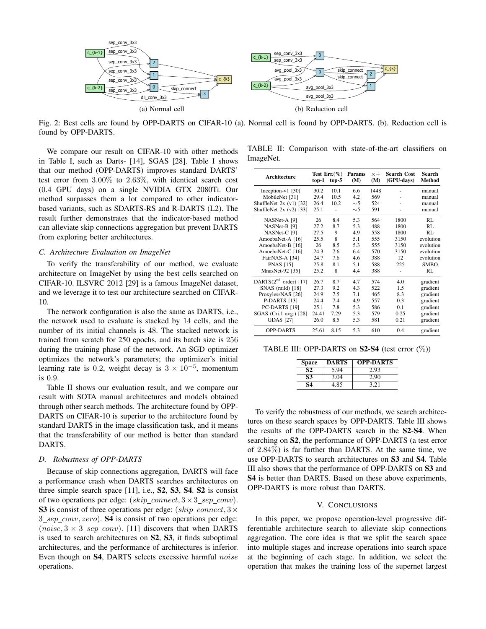

Fig. 2: Best cells are found by OPP-DARTS on CIFAR-10 (a). Normal cell is found by OPP-DARTS. (b). Reduction cell is found by OPP-DARTS.

We compare our result on CIFAR-10 with other methods in Table I, such as Darts- [14], SGAS [28]. Table I shows that our method (OPP-DARTS) improves standard DARTS' test error from 3.00% to 2.63%, with identical search cost (0.4 GPU days) on a single NVIDIA GTX 2080Ti. Our method surpasses them a lot compared to other indicatorbased variants, such as SDARTS-RS and R-DARTS (L2). The result further demonstrates that the indicator-based method can alleviate skip connections aggregation but prevent DARTS from exploring better architectures.

#### *C. Architecture Evaluation on ImageNet*

To verify the transferability of our method, we evaluate architecture on ImageNet by using the best cells searched on CIFAR-10. ILSVRC 2012 [29] is a famous ImageNet dataset, and we leverage it to test our architecture searched on CIFAR-10.

The network configuration is also the same as DARTS, i.e., the network used to evaluate is stacked by 14 cells, and the number of its initial channels is 48. The stacked network is trained from scratch for 250 epochs, and its batch size is 256 during the training phase of the network. An SGD optimizer optimizes the network's parameters; the optimizer's initial learning rate is 0.2, weight decay is  $3 \times 10^{-5}$ , momentum is 0.9.

Table II shows our evaluation result, and we compare our result with SOTA manual architectures and models obtained through other search methods. The architecture found by OPP-DARTS on CIFAR-10 is superior to the architecture found by standard DARTS in the image classification task, and it means that the transferability of our method is better than standard DARTS.

## *D. Robustness of OPP-DARTS*

Because of skip connections aggregation, DARTS will face a performance crash when DARTS searches architectures on three simple search space  $[11]$ , i.e., **S2**, **S3**, **S4**. **S2** is consist of two operations per edge:  $(\text{skip\_connect}, 3 \times 3 \text{\_sep\_conv}).$ S3 is consist of three operations per edge:  $(\text{skip\_connect}, 3 \times$  $3\_sep\_conv, zero$ ). S4 is consist of two operations per edge: (noise,  $3 \times 3$  sep conv). [11] discovers that when DARTS is used to search architectures on S2, S3, it finds suboptimal architectures, and the performance of architectures is inferior. Even though on S4, DARTS selects excessive harmful noise operations.

TABLE II: Comparison with state-of-the-art classifiers on ImageNet.

| <b>Architecture</b>         | Test $Err(%)$ |         | Params   | $\times +$ | <b>Search Cost</b> | Search<br>Method |
|-----------------------------|---------------|---------|----------|------------|--------------------|------------------|
|                             | $top-1$       | $top-5$ | (M)      | (M)        | (GPU-days)         |                  |
| Inception- $v1$ [30]        | 30.2          | 10.1    | 6.6      | 1448       |                    | manual           |
| MobileNet [31]              | 29.4          | 10.5    | 4.2      | 569        |                    | manual           |
| ShuffleNet $2x(y1)$ [32]    | 26.4          | 10.2    | $\sim$ 5 | 524        |                    | manual           |
| ShuffleNet $2x(y2)$ [33]    | 25.1          |         | $\sim$ 5 | 591        |                    | manual           |
| NASNet-A [9]                | 26            | 8.4     | 5.3      | 564        | 1800               | RL               |
| NASNet-B <sub>[9]</sub>     | 27.2          | 8.7     | 5.3      | 488        | 1800               | RL               |
| NASNet-C [9]                | 27.5          | 9       | 4.9      | 558        | 1800               | RL               |
| AmoebaNet-A [16]            | 25.5          | 8       | 5.1      | 555        | 3150               | evolution        |
| AmoebaNet-B [16]            | 26            | 8.5     | 5.3      | 555        | 3150               | evolution        |
| AmoebaNet-C [16]            | 24.3          | 7.6     | 6.4      | 570        | 3150               | evolution        |
| FairNAS-A [34]              | 24.7          | 7.6     | 4.6      | 388        | 12.                | evolution        |
| <b>PNAS</b> [15]            | 25.8          | 8.1     | 5.1      | 588        | 225                | <b>SMBO</b>      |
| MnasNet-92 [35]             | 25.2          | 8       | 4.4      | 388        |                    | RL               |
| DARTS $(2^{nd}$ order) [17] | 26.7          | 8.7     | 4.7      | 574        | 4.0                | gradient         |
| $SNAS$ (mild) $[18]$        | 27.3          | 9.2     | 4.3      | 522        | 1.5                | gradient         |
| ProxylessNAS [26]           | 24.9          | 7.5     | 7.1      | 465        | 8.3                | gradient         |
| P-DARTS [13]                | 24.4          | 7.4     | 4.9      | 557        | 0.3                | gradient         |
| PC-DARTS [19]               | 25.1          | 7.8     | 5.3      | 586        | 0.1                | gradient         |
| SGAS (Cri.1 avg.) [28]      | 24.41         | 7.29    | 5.3      | 579        | 0.25               | gradient         |
| <b>GDAS</b> [27]            | 26.0          | 8.5     | 5.3      | 581        | 0.21               | gradient         |
| <b>OPP-DARTS</b>            | 25.61         | 8.15    | 5.3      | 610        | 0.4                | gradient         |

TABLE III: OPP-DARTS on  $S2-S4$  (test error  $(\%)$ )

| <b>Space</b> | <b>DARTS</b> | <b>OPP-DARTS</b> |
|--------------|--------------|------------------|
| 82           | 5.94         | 2.93             |
| 83           | 3.04         | 2.90             |
| 84           | 4 85         | 3.21             |

To verify the robustness of our methods, we search architectures on these search spaces by OPP-DARTS. Table III shows the results of the OPP-DARTS search in the S2-S4. When searching on S2, the performance of OPP-DARTS (a test error of 2.84%) is far further than DARTS. At the same time, we use OPP-DARTS to search architectures on S3 and S4. Table III also shows that the performance of OPP-DARTS on S3 and S4 is better than DARTS. Based on these above experiments, OPP-DARTS is more robust than DARTS.

#### V. CONCLUSIONS

In this paper, we propose operation-level progressive differentiable architecture search to alleviate skip connections aggregation. The core idea is that we split the search space into multiple stages and increase operations into search space at the beginning of each stage. In addition, we select the operation that makes the training loss of the supernet largest